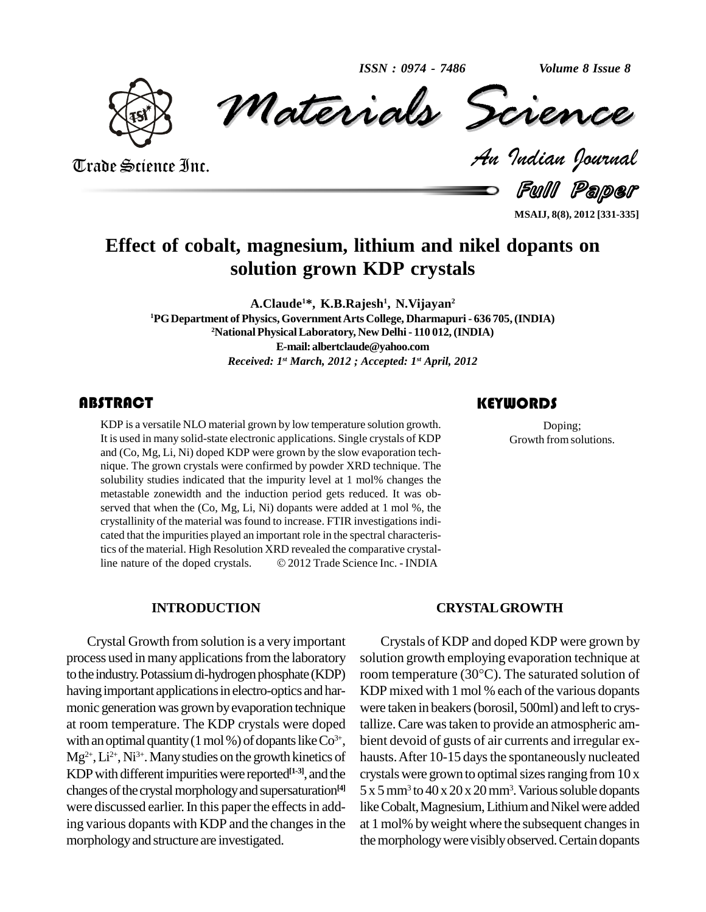

*Materials* Science *Volume 8 Issue 8*<br> *Indian Pournal* ISSN: 0974 - 7486<br>Materials Science

Trade Science Inc. Trade Science Inc.

Full Paper

**MSAIJ, 8(8), 2012 [331-335]**

### **Effect of cobalt, magnesium, lithium and nikel dopants on solution grown KDP crystals**

**A.Claude <sup>1</sup>\*, K.B.Rajesh 1 , N.Vijayan 2 <sup>1</sup>PGDepartment of Physics, GovernmentArts College, Dharmapuri - 636 705,(INDIA) <sup>2</sup>National PhysicalLaboratory, New Delhi-110 012,(INDIA) E-mail:[albertclaude@yahoo.com](mailto:albertclaude@yahoo.com)** *Received: 1 st March, 2012 ; Accepted: 1 st April, 2012*

#### **ABSTRACT**

EXECUTE:<br>
KDP is a versatile NLO material grown by low temperature solution growth. Doping;<br>
It is used in many solid-state electronic applications. Single crystals of KDP<br>
and (Co, Mg, Li, Ni) doped KDP were grown by the KDP is a versatile NLO material grown by low temperature solution growth. It is used in many solid-state electronic applications. Single crystals of KDP and (Co, Mg, Li, Ni) doped KDP were grown by the slow evaporation tech nique. The grown crystals were confirmed by powder XRD technique. The solubility studies indicated that the impurity level at 1 mol% changes the metastable zonewidth and the induction period gets reduced. It was ob served that when the (Co, Mg, Li, Ni) dopants were added at 1 mol %, the crystallinity of the material was found to increase. FTIR investigations indicated that the impurities played an important role in the spectral characteristics of the material. High Resolution XRD revealed the comparative crystalcated that the impurities played an important role in the spectral characteristics of the material. High Resolution XRD revealed the comparative crystalline nature of the doped crystals.  $\textcircled{2012}$  Trade Science Inc. - I

#### **INTRODUCTION**

Crystal Growth from solution is a very important process used in many applications from the laboratory to the industry. Potassium di-hydrogen phosphate (KDP) room temperature  $(30^{\circ}C)$ . The saturated solution of having important applications in electro-optics and harmonic generation was grown by evaporation technique at room temperature. The KDP crystals were doped with an optimal quantity (1 mol %) of dopants like  $Co^{3+}$ , Mg<sup>2+</sup>, Li<sup>2+</sup>, Ni<sup>3+</sup>. Many studies on the growth kinetics of hau KDP with different impurities were reported<sup>[1-3]</sup>, and the crysta changes of the crystal morphology and supersaturation<sup>[4]</sup> 5 x 5 i were discussed earlier. In this paper the effects in adding various dopants with KDP and the changes in the morphologyand structure are investigated.

#### **KEYWORDS**

Doping; Growth from solutions.

#### **CRYSTALGROWTH**

3+ , bient devoid of gusts of air currents and irregular ex- Crystals of KDP and doped KDP were grown by<br>solution growth employing evaporation technique at<br>room temperature (30°C). The saturated solution of solution growth employing evaporation technique at KDP mixed with  $1 \text{ mol } \%$  each of the various dopants were taken in beakers(borosil, 500ml) and left to crystallize.Care wastaken to provide an atmospheric am hausts. After 10-15 days the spontaneously nucleated crystals were grown to optimal sizes ranging from  $10 x$ 5 x 5mm<sup>3</sup> to 40 x 20 x 20mm<sup>3</sup> .Varioussoluble dopants like Cobalt, Magnesium, Lithium and Nikel were added at 1 mol% byweight where the subsequent changesin the morphology were visibly observed. Certain dopants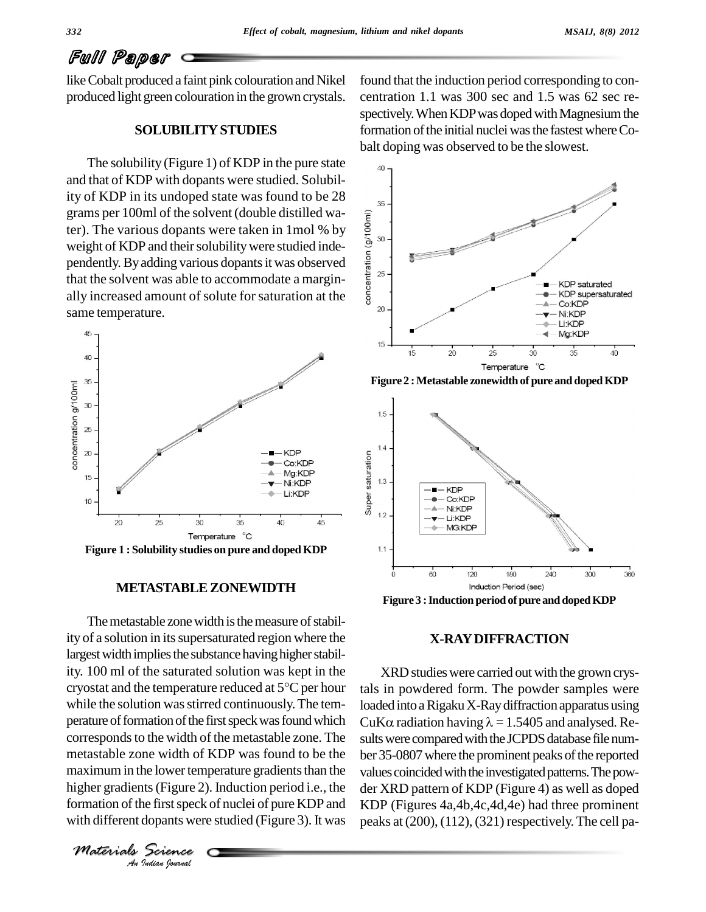# Full Paper

like Cobalt produced a faint pink colouration and Nikel produced light green colouration in the grown crystals.

#### **SOLUBILITYSTUDIES**

The solubility (Figure 1) of KDP in the pure state  $\frac{1}{40}$ and thatof KDP with dopants were studied. Solubility of KDP in its undoped state was found to be 28  $\frac{1}{35}$ grams per 100ml of the solvent (double distilled wa-<br>ter). The various dopants were taken in 1mol % by<br>weight of KDP and their solubility were studied inde-<br>pendently. By adding various dopants it was observed<br>that the so ter). The various dopants were taken in 1mol % by weight of KDP and their solubility were studied independently. By adding various dopants it was observed  $\frac{2}{5}$ that the solvent was able to accommodate a margin ally increased amount of solute forsaturation at the same temperature.



#### **METASTABLEZONEWIDTH**

maximum in the lower temperature gradients than the values **Indian**<br>**Indian**<br>**Indian**<br>*Indian Iournal* The metastable zone width is the measure of stability of a solution in its supersaturated region where the largest width implies the substance having higher stability. 100 ml of the saturated solution was kept in the<br>cryostat and the temperature reduced at 5°C per hour tals ity. 100 ml of the saturated solution was kept in the while the solution was stirred continuously. The temperature of formation of the first speck was found which CuK $\alpha$  radiation having  $\lambda = 1.5405$  and analysed. Recorresponds to the width of the metastable zone. The metastable zone width of KDP was found to be the higher gradients (Figure 2). Induction period i.e., the der X formation of the first speck of nuclei of pure KDP and with different dopants were studied (Figure 3). It was

*Materials Science*

found that the induction period corresponding to concentration 1.1 was 300 sec and 1.5 was 62 sec re spectively. When KDP was doped with Magnesium the formation of the initial nuclei was the fastest where Cobalt doping was observed to be the slowest.



**Figure 2 :Metastable zonewidth of pure and dopedKDP**



**Figure 3 :Induction period ofpure and dopedKDP**

#### **X-RAYDIFFRACTION**

XRD studies were carried out with the grown crystals in powdered form. The powder samples were loaded into a Rigaku X-Ray diffraction apparatus using tals in powdered form. The powder samples were<br>loaded into a Rigaku X-Ray diffraction apparatus using<br>CuK $\alpha$  radiation having  $\lambda = 1.5405$  and analysed. Results were compared with the JCPDS database file number 35-0807 where the prominent peaks of the reported values coincided with the investigated patterns. The powder XRD pattern of KDP (Figure 4) as well as doped KDP (Figures 4a,4b,4c,4d,4e) had three prominent peaks at  $(200)$ ,  $(112)$ ,  $(321)$  respectively. The cell pa-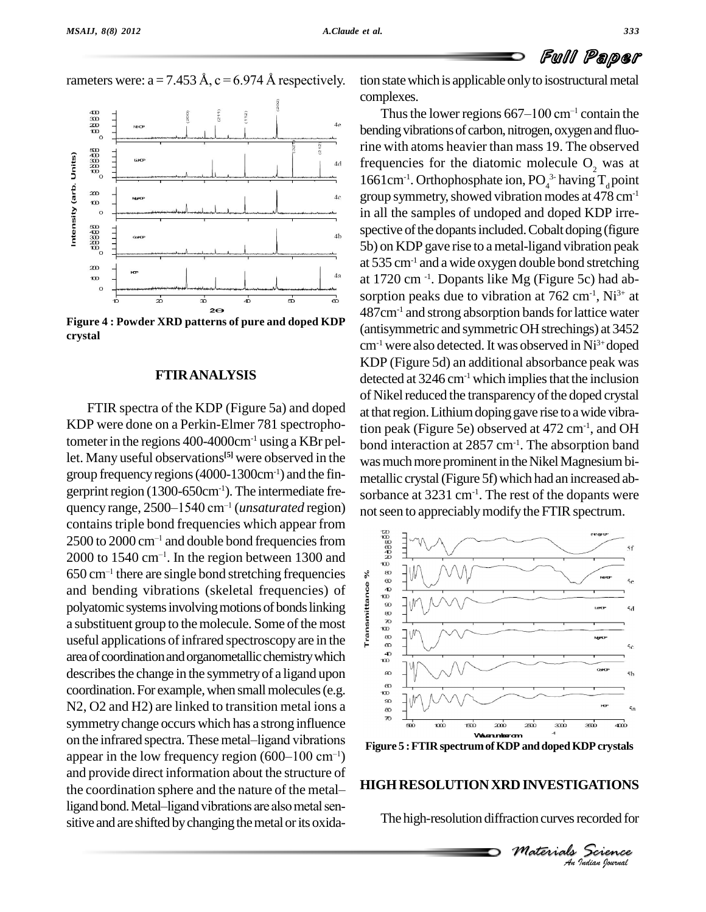

rameters were:  $a = 7.453 \text{ Å}$ ,  $c = 6.974 \text{ Å}$  respectively.



**Figure 4 : Powder XRD patterns of pure and doped KDP crystal**

#### **FTIRANALYSIS**

FTIR spectra of the KDP (Figure 5a) and doped KDP were done on a Perkin-Elmer 781 spectrophotometerin the regions 400-4000cm-1 using a KBr pellet. Many useful observations<sup>[5]</sup> were observed in the was m group frequency regions (4000-1300cm<sup>-1</sup>) and the fingerprint region (1300-650cm<sup>-1</sup>). The intermediate fre- $_{\rm{soft}}$ group frequency regions (4000-1300cm<sup>-1</sup>) and the fin-<br>gerprint region (1300-650cm<sup>-1</sup>). The intermediate fre-<br>quency range, 2500–1540 cm<sup>-1</sup> (*unsaturated* region) not contains triple bond frequencies which appear from<br>2500 to 2000 cm<sup>-1</sup> and double bond frequencies from<br>2000 to 1540 cm<sup>-1</sup>. In the region between 1300 and contains triple bond frequencies which appear from<br>2500 to 2000 cm<sup>-1</sup> and double bond frequencies from 2500 to 2000 cm<sup>-1</sup> and do<br>2000 to 1540 cm<sup>-1</sup>. In th 2000 to 1540 cm<sup>-1</sup>. In the region between 1300 and<br>650 cm<sup>-1</sup> there are single bond stretching frequencies  $\frac{30}{8}$ 650 cm<sup>-1</sup> there are single bond stretching frequencies<br>and bending vibrations (skeletal frequencies) of<br>polyatomic systems involving motions of bonds linking<br>a substituent group to the molecule. Some of the most<br>useful a and bending vibrations (skeletal frequencies) of  $\frac{8}{5}$ polyatomic systems involving motions of bonds linking<br>a substituent group to the molecule. Some of the most a substituent group to the molecule. Some of the most useful applications of infrared spectroscopy are in the area of coordination and organometallic chemistry which describes the change in the symmetry of a ligand upon coordination. For example, when small molecules (e.g. N2, O2 and H2) are linked to transition metal ions a symmetry change occurs which has a strong influence N2, O2 and H2) are linked to transition metal ions a<br>symmetry change occurs which has a strong influence<br>on the infrared spectra. These metal–ligand vibrations symmetry change occurs which has a strong influence<br>on the infrared spectra. These metal-ligand vibrations<br>appear in the low frequency region (600–100 cm<sup>-1</sup>) and provide direct information about the structure of appear in the low frequency region  $(600-100 \text{ cm}^{-1})$ <br>and provide direct information about the structure of<br>the coordination sphere and the nature of the metalligand bond. Metal-ligand vibrations are also metal sensitive and are shifted by changing the metal or its oxida-

tion state which is applicable only to isostructural metal complexes.

Thus the lower regions  $667-100$  cm<sup>-1</sup> contain the bending vibrations of carbon, nitrogen, oxygen and fluorine with atoms heavier than mass 19. The observed frequencies for the diatomic molecule  $O<sub>2</sub>$  was at 1661cm<sup>-1</sup>. Orthophosphate ion,  $PO_4^3$  having  $T_d$  point group symmetry, showed vibration modes at  $478 \text{ cm}^{-1}$ in all the samples of undoped and doped KDP irre spective of the dopants included. Cobalt doping (figure) 5b) on KDP gave rise to ametal-ligand vibration peak at  $535 \text{ cm}^{-1}$  and a wide oxygen double bond stretching at 1720 cm -1 . Dopants like Mg (Figure 5c) had ab sorption peaks due to vibration at  $762 \text{ cm}^2$ , Ni<sup>3+</sup> at 487cm<sup>-1</sup> and strong absorption bands for lattice water (antisymmetric and symmetricOHstrechings) at 3452 cm<sup>-1</sup> were also detected. It was observed in Ni<sup>3+</sup> doped KDP (Figure 5d) an additional absorbance peak was detected at  $3246 \text{ cm}^{-1}$  which implies that the inclusion of Nikel reduced the transparency of the doped crystal at that region. Lithium doping gave rise to a wide vibration peak (Figure 5e) observed at 472 cm-1 , and OH bond interaction at 2857 cm-1 . The absorption band was much more prominent in the Nikel Magnesium bimetallic crystal(Figure 5f) which had an increased ab sorbance at 3231 cm-1 . The rest of the dopants were not seen to appreciably modify the FTIR spectrum.



**Figure 5 :FTIR spectrumofKDP anddopedKDPcrystals**

#### **HIGHRESOLUTIONXRD INVESTIGATIONS**

The high-resolution diffraction curves recorded for

*M MINESTIGATIONS*<br> *Materials Science*<br> *A Indian bouval*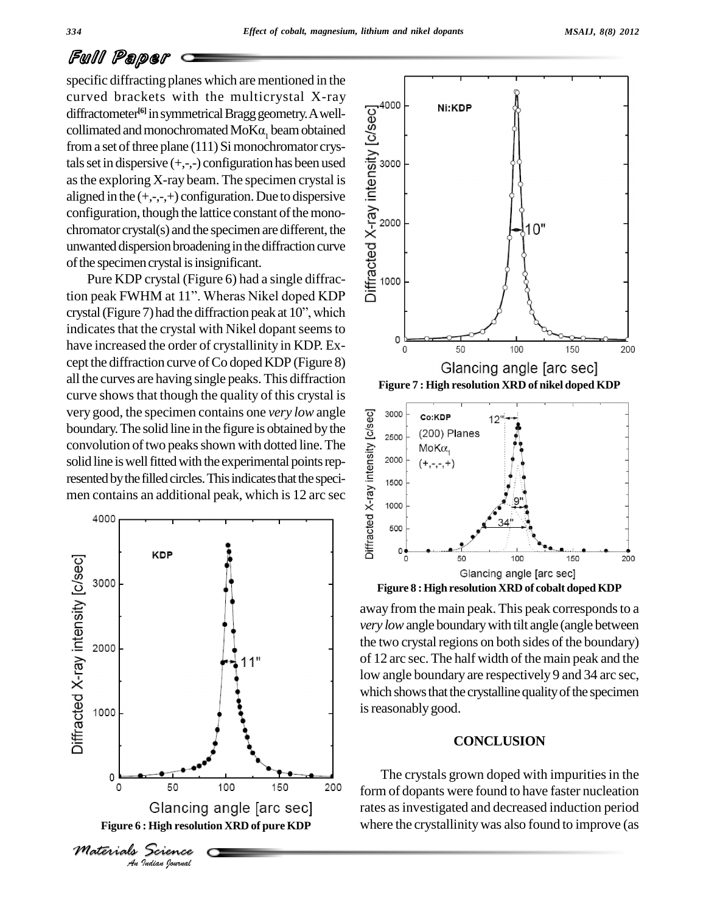## Full Paper

specific diffracting planes which are mentioned in the curved brackets with the multicrystal X-ray diffractometer<sup>[6]</sup> in symmetrical Bragg geometry. A welldiffractometer<sup>60</sup> in symmetrical Bragg geometry. A well-<br>collimated and monochromated MoK $\alpha_1$  beam obtained<br>from a set of three plane (111) Si monochromator crys-<br>tals set in dispersive (+,-,-) configuration has been u from a set of three plane (111) Si monochromator crystals set in dispersive  $(+,-,-)$  configuration has been used asthe exploring X-ray beam. The specimen crystal is aligned in the  $(+,-,+)$  configuration. Due to dispersive configuration, though the lattice constant of the monochromator crystal(s) and the specimen are different, the unwanted dispersion broadening in the diffraction curve of the specimen crystal is insignificant.

Pure KDP crystal (Figure 6) had a single diffraction peak FWHM at 11". Wheras Nikel doped KDP crystal (Figure 7) had the diffraction peak at  $10$ <sup>"</sup>, which indicates that the crystal with Nikel dopant seems to  $\frac{1}{2}$ have increased the order of crystallinity in KDP. Ex cept the diffraction curve of Co doped KDP (Figure 8) all the curves are having single peaks. This diffraction curve shows that though the quality of this crystal is very good, the specimen contains one *very low* angle<br>boundary. The solid line in the figure is obtained by the<br>convolution of two peaks shown with dotted line. The<br>solid line is well fitted with the experimental points re boundary. The solid line in the figure is obtained by the  $\frac{8}{9}$  2500 convolution of two peaks shown with dotted line. The solid line is well fitted with the experimental points represented by the filled circles. This indicates that the specimen contains an additional peak, which is 12 arc sec  $\frac{\vec{e}}{x}$  1000





**Figure 8 :High resolution XRD of cobalt dopedKDP**

away from the main peak. This peak corresponds to a *very low*angle boundarywith tilt angle (angle between the two crystal regions on both sides of the boundary) of 12 arc sec. The half width of the main peak and the low angle boundary are respectively 9 and 34 arc sec, which shows that the crystalline quality of the specimen is reasonably good.

#### **CONCLUSION**

The crystals grown doped with impurities in the form of dopants were found to have faster nucleation rates asinvestigated and decreased induction period where the crystallinity was also found to improve (as